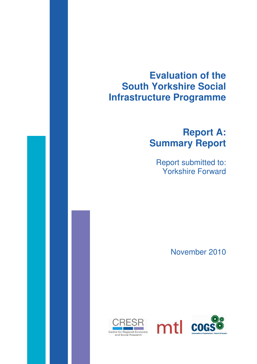# **Evaluation of the South Yorkshire Social Infrastructure Programme**

# **Report A: Summary Report**

Report submitted to: Yorkshire Forward

November 2010



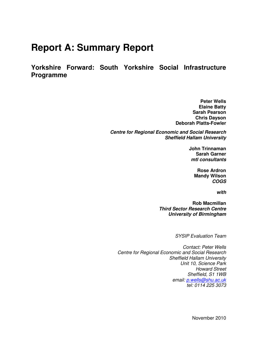# **Report A: Summary Report**

**Yorkshire Forward: South Yorkshire Social Infrastructure Programme** 

> **Peter Wells Elaine Batty Sarah Pearson Chris Dayson Deborah Platts-Fowler**

**Centre for Regional Economic and Social Research Sheffield Hallam University** 

> **John Trinnaman Sarah Garner mtl consultants**

> > **Rose Ardron Mandy Wilson COGS**

> > > **with**

**Rob Macmillan Third Sector Research Centre University of Birmingham** 

SYSIP Evaluation Team

Contact: Peter Wells Centre for Regional Economic and Social Research Sheffield Hallam University Unit 10, Science Park Howard Street Sheffield, S1 1WB email: p.wells@shu.ac.uk tel: 0114 225 3073

November 2010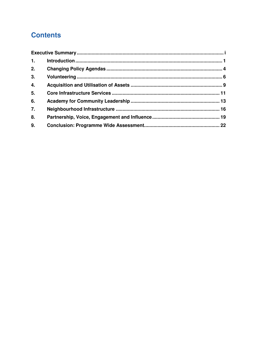# **Contents**

| 1. |  |  |  |
|----|--|--|--|
| 2. |  |  |  |
| 3. |  |  |  |
| 4. |  |  |  |
| 5. |  |  |  |
| 6. |  |  |  |
| 7. |  |  |  |
| 8. |  |  |  |
| 9. |  |  |  |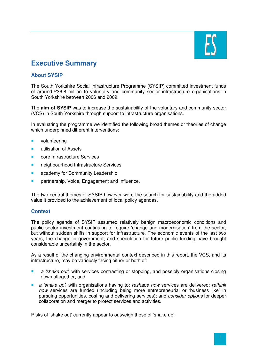

# **Executive Summary**

# **About SYSIP**

The South Yorkshire Social Infrastructure Programme (SYSIP) committed investment funds of around £36.8 million to voluntary and community sector infrastructure organisations in South Yorkshire between 2006 and 2009.

The **aim of SYSIP** was to increase the sustainability of the voluntary and community sector (VCS) in South Yorkshire through support to infrastructure organisations.

In evaluating the programme we identified the following broad themes or theories of change which underpinned different interventions:

- **volunteering**
- **utilisation of Assets**
- **Core Infrastructure Services**
- **neighbourhood Infrastructure Services**
- **a** academy for Community Leadership
- **Partnership, Voice, Engagement and Influence.**

The two central themes of SYSIP however were the search for sustainability and the added value it provided to the achievement of local policy agendas.

#### **Context**

The policy agenda of SYSIP assumed relatively benign macroeconomic conditions and public sector investment continuing to require 'change and modernisation' from the sector, but without sudden shifts in support for infrastructure. The economic events of the last two years, the change in government, and speculation for future public funding have brought considerable uncertainly in the sector.

As a result of the changing environmental context described in this report, the VCS, and its infrastructure, may be variously facing either or both of:

- **a** a 'shake out', with services contracting or stopping, and possibly organisations closing down altogether, and
- a 'shake up', with organisations having to: reshape how services are delivered; rethink how services are funded (including being more entrepreneurial or 'business like' in pursuing opportunities, costing and delivering services); and consider options for deeper collaboration and merger to protect services and activities.

Risks of 'shake out' currently appear to outweigh those of 'shake up'.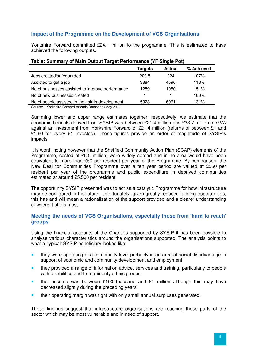# **Impact of the Programme on the Development of VCS Organisations**

Yorkshire Forward committed £24.1 million to the programme. This is estimated to have achieved the following outputs.

|                                                   | Targets | <b>Actual</b> | % Achieved |
|---------------------------------------------------|---------|---------------|------------|
| Jobs created/safeguarded                          | 209.5   | 224           | 107%       |
| Assisted to get a job                             | 3884    | 4596          | 118%       |
| No of businesses assisted to improve performance  | 1289    | 1950          | 151%       |
| No of new businesses created                      |         |               | 100%       |
| No of people assisted in their skills development | 5323    | 6961          | 131%       |

# **Table: Summary of Main Output Target Performance (YF Single Pot)**

Source: Yorkshire Forward Artemis Database (May 2010)

Summing lower and upper range estimates together, respectively, we estimate that the economic benefits derived from SYSIP was between £21.4 million and £33.7 million of GVA against an investment from Yorkshire Forward of £21.4 million (returns of between £1 and £1.60 for every £1 invested). These figures provide an order of magnitude of SYSIP's impacts.

It is worth noting however that the Sheffield Community Action Plan (SCAP) elements of the Programme, costed at £6.5 million, were widely spread and in no area would have been equivalent to more than £50 per resident per year of the Programme. By comparison, the New Deal for Communities Programme over a ten year period are valued at £550 per resident per year of the programme and public expenditure in deprived communities estimated at around £5,500 per resident.

The opportunity SYSIP presented was to act as a catalytic Programme for how infrastructure may be configured in the future. Unfortunately, given greatly reduced funding opportunities, this has and will mean a rationalisation of the support provided and a clearer understanding of where it offers most.

# **Meeting the needs of VCS Organisations, especially those from 'hard to reach' groups**

Using the financial accounts of the Charities supported by SYSIP it has been possible to analyse various characteristics around the organisations supported. The analysis points to what a 'typical' SYSIP beneficiary looked like:

- **they were operating at a community level probably in an area of social disadvantage in** support of economic and community development and employment
- they provided a range of information advice, services and training, particularly to people with disabilities and from minority ethnic groups
- **their income was between £100 thousand and £1 million although this may have** decreased slightly during the preceding years
- **their operating margin was tight with only small annual surpluses generated.**

These findings suggest that infrastructure organisations are reaching those parts of the sector which may be most vulnerable and in need of support.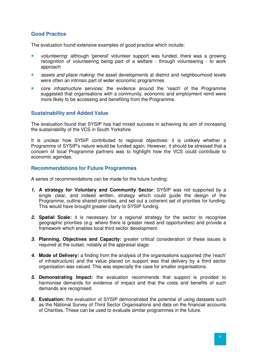# **Good Practice**

The evaluation found extensive examples of good practice which include:

- volunteering: although 'general' volunteer support was funded, there was a growing recognition of volunteering being part of a welfare - through volunteering - to work approach
- **Assets and place making: the asset developments at district and neighbourhood levels** were often an intrinsic part of wider economic programmes
- **Core infrastructure services:** the evidence around the 'reach' of the Programme suggested that organisations with a community, economic and employment remit were more likely to be accessing and benefiting from the Programme.

# **Sustainability and Added Value**

The evaluation found that SYSIP has had mixed success in achieving its aim of increasing the sustainability of the VCS in South Yorkshire.

It is unclear how SYSIP contributed to regional objectives: it is unlikely whether a Programme of SYSIP's nature would be funded again. However, it should be stressed that a concern of local Programme partners was to highlight how the VCS could contribute to economic agendas.

## **Recommendations for Future Programmes**

A series of recommendations can be made for the future funding:

- **1. A strategy for Voluntary and Community Sector**: SYSIP was not supported by a single clear, and indeed written, strategy which could guide the design of the Programme, outline shared priorities, and set out a coherent set of priorities for funding. This would have brought greater clarity to SYSIP funding.
- **2. Spatial Scale:** it is necessary for a regional strategy for the sector to recognise geographic priorities (e.g. where there is greater need and opportunities) and provide a framework which enables local third sector development.
- **3. Planning, Objectives and Capacity:** greater critical consideration of these issues is required at the outset, notably at the appraisal stage.
- **4. Mode of Delivery:** a finding from the analysis of the organisations supported (the 'reach' of infrastructure) and the value placed on support was that delivery by a third sector organisation was valued. This was especially the case for smaller organisations.
- **5. Demonstrating Impact:** the evaluation recommends that support is provided to harmonise demands for evidence of impact and that the costs and benefits of such demands are recognised.
- **6. Evaluation:** the evaluation of SYSIP demonstrated the potential of using datasets such as the National Survey of Third Sector Organisations and data on the financial accounts of Charities. These can be used to evaluate similar programmes in the future.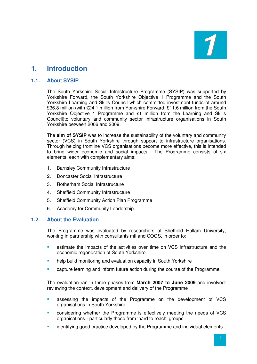

# **1. Introduction**

# **1.1. About SYSIP**

The South Yorkshire Social Infrastructure Programme (SYSIP) was supported by Yorkshire Forward, the South Yorkshire Objective 1 Programme and the South Yorkshire Learning and Skills Council which committed investment funds of around £36.8 million (with £24.1 million from Yorkshire Forward, £11.6 million from the South Yorkshire Objective 1 Programme and £1 million from the Learning and Skills Council)to voluntary and community sector infrastructure organisations in South Yorkshire between 2006 and 2009.

The **aim of SYSIP** was to increase the sustainability of the voluntary and community sector (VCS) in South Yorkshire through support to infrastructure organisations. Through helping frontline VCS organisations become more effective, this is intended to bring wider economic and social impacts. The Programme consists of six elements, each with complementary aims:

- 1. Barnsley Community Infrastructure
- 2. Doncaster Social Infrastructure
- 3. Rotherham Social Infrastructure
- 4. Sheffield Community Infrastructure
- 5. Sheffield Community Action Plan Programme
- 6. Academy for Community Leadership.

#### **1.2. About the Evaluation**

The Programme was evaluated by researchers at Sheffield Hallam University, working in partnership with consultants mtl and COGS, in order to:

- **EXEC** estimate the impacts of the activities over time on VCS infrastructure and the economic regeneration of South Yorkshire
- **help build monitoring and evaluation capacity in South Yorkshire**
- capture learning and inform future action during the course of the Programme.

The evaluation ran in three phases from **March 2007 to June 2009** and involved: reviewing the context, development and delivery of the Programme

- assessing the impacts of the Programme on the development of VCS organisations in South Yorkshire
- considering whether the Programme is effectively meeting the needs of VCS organisations - particularly those from 'hard to reach' groups
- identifying good practice developed by the Programme and individual elements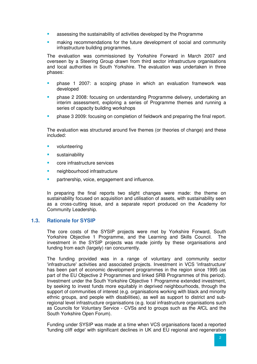- **•** assessing the sustainability of activities developed by the Programme
- **EXECOMMENDERIER IN A THE INCOCOMMENT COMMUNITY COMMUNITY** making recommunity infrastructure building programmes.

The evaluation was commissioned by Yorkshire Forward in March 2007 and overseen by a Steering Group drawn from third sector infrastructure organisations and local authorities in South Yorkshire. The evaluation was undertaken in three phases:

- phase 1 2007: a scoping phase in which an evaluation framework was developed
- phase 2 2008: focusing on understanding Programme delivery, undertaking an interim assessment, exploring a series of Programme themes and running a series of capacity building workshops
- phase 3 2009: focusing on completion of fieldwork and preparing the final report.

The evaluation was structured around five themes (or theories of change) and these included:

- volunteering
- **sustainability**
- core infrastructure services
- neighbourhood infrastructure
- **Partnership, voice, engagement and influence.**

In preparing the final reports two slight changes were made: the theme on sustainability focused on acquisition and utilisation of assets, with sustainability seen as a cross-cutting issue, and a separate report produced on the Academy for Community Leadership.

#### **1.3. Rationale for SYSIP**

The core costs of the SYSIP projects were met by Yorkshire Forward, South Yorkshire Objective 1 Programme, and the Learning and Skills Council. The investment in the SYSIP projects was made jointly by these organisations and funding from each (largely) ran concurrently.

The funding provided was in a range of voluntary and community sector 'infrastructure' activities and associated projects. Investment in VCS 'infrastructure' has been part of economic development programmes in the region since 1995 (as part of the EU Objective 2 Programmes and linked SRB Programmes of this period). Investment under the South Yorkshire Objective 1 Programme extended investment, by seeking to invest funds more equitably in deprived neighbourhoods, through the support of communities of interest (e.g. organisations working with black and minority ethnic groups, and people with disabilities), as well as support to district and subregional level infrastructure organisations (e.g. local infrastructure organisations such as Councils for Voluntary Service - CVSs and to groups such as the AfCL and the South Yorkshire Open Forum).

Funding under SYSIP was made at a time when VCS organisations faced a reported 'funding cliff edge' with significant declines in UK and EU regional and regeneration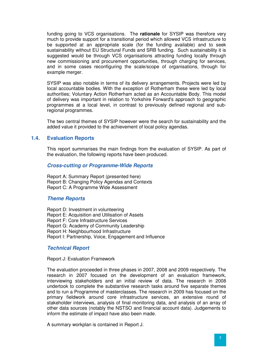funding going to VCS organisations. The **rationale** for SYSIP was therefore very much to provide support for a transitional period which allowed VCS infrastructure to be supported at an appropriate scale (for the funding available) and to seek sustainability without EU Structural Funds and SRB funding. Such sustainability it is suggested would be through VCS organisations attracting funding locally through new commissioning and procurement opportunities, through charging for services, and in some cases reconfiguring the scale/scope of organisations, through for example merger.

SYSIP was also notable in terms of its delivery arrangements. Projects were led by local accountable bodies. With the exception of Rotherham these were led by local authorities; Voluntary Action Rotherham acted as an Accountable Body. This model of delivery was important in relation to Yorkshire Forward's approach to geographic programmes at a local level, in contrast to previously defined regional and subregional programmes.

The two central themes of SYSIP however were the search for sustainability and the added value it provided to the achievement of local policy agendas.

#### **1.4. Evaluation Reports**

This report summarises the main findings from the evaluation of SYSIP. As part of the evaluation, the following reports have been produced.

#### **Cross-cutting or Programme-Wide Reports**

Report A: Summary Report (presented here) Report B: Changing Policy Agendas and Contexts Report C: A Programme Wide Assessment

#### **Theme Reports**

Report D: Investment in volunteering Report E: Acquisition and Utilisation of Assets Report F: Core Infrastructure Services Report G: Academy of Community Leadership Report H: Neighbourhood Infrastructure Report I: Partnership, Voice, Engagement and Influence

#### **Technical Report**

Report J: Evaluation Framework

The evaluation proceeded in three phases in 2007, 2008 and 2009 respectively. The research in 2007 focused on the development of an evaluation framework, interviewing stakeholders and an initial review of data. The research in 2008 undertook to complete the substantive research tasks around five separate themes and to run a Programme of masterclasses. The research in 2009 has focused on the primary fieldwork around core infrastructure services, an extensive round of stakeholder interviews, analysis of final monitoring data, and analysis of an array of other data sources (notably the NSTSO and financial account data). Judgements to inform the estimate of impact have also been made.

A summary workplan is contained in Report J.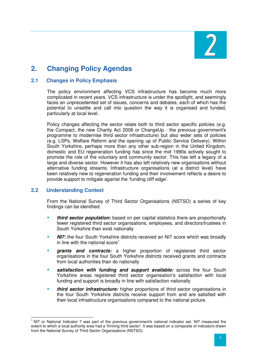

# **2. Changing Policy Agendas**

# **2.1 Changes in Policy Emphasis**

The policy environment affecting VCS infrastructure has become much more complicated in recent years. VCS infrastructure is under the spotlight, and seemingly faces an unprecedented set of issues, concerns and debates, each of which has the potential to unsettle and call into question the way it is organised and funded, particularly at local level.

Policy changes affecting the sector relate both to third sector specific policies (e.g. the Compact, the new Charity Act 2006 or ChangeUp - the previous government's programme to modernise third sector infrastructure) but also wider sets of policies (e.g. LSPs, Welfare Reform and the opening up of Public Service Delivery). Within South Yorkshire, perhaps more than any other sub-region in the United Kingdom, domestic and EU regeneration funding has since the mid 1990s actively sought to promote the role of the voluntary and community sector. This has left a legacy of a large and diverse sector. However it has also left relatively new organisations without alternative funding streams. Infrastructure organisations (at a district level) have been relatively new to regeneration funding and their involvement reflects a desire to provide support to mitigate against the 'funding cliff edge'.

# **2.2 Understanding Context**

 $\overline{a}$ 

From the National Survey of Third Sector Organisations (NSTSO) a series of key findings can be identified:

- **third sector population:** based on per capital statistics there are proportionally fewer registered third sector organisations, employees, and directors/trustees in South Yorkshire than exist nationally
- **NI7:** the four South Yorkshire districts received an NI7 score which was broadly in line with the national score<sup>1</sup>
- **grants and contracts:** a higher proportion of registered third sector organisations in the four South Yorkshire districts received grants and contracts from local authorities than do nationally
- **satisfaction with funding and support available:** across the four South Yorkshire areas registered third sector organisation's satisfaction with local funding and support is broadly in line with satisfaction nationally
- **third sector infrastructure:** higher proportions of third sector organisations in the four South Yorkshire districts receive support from and are satisfied with their local infrastructure organisations compared to the national picture.

<sup>&</sup>lt;sup>1</sup> NI7 or National Indicator 7 was part of the previous government's national indicator set. NI7 measured the extent to which a local authority area had a 'thriving third sector'. It was based on a composite of indicators drawn from the National Survey of Third Sector Organisations (NSTSO).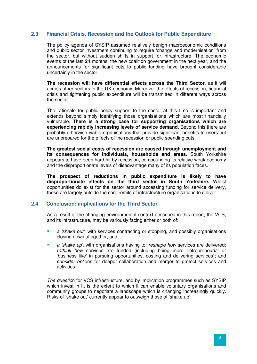# **2.3 Financial Crisis, Recession and the Outlook for Public Expenditure**

The policy agenda of SYSIP assumed relatively benign macroeconomic conditions and public sector investment continuing to require 'change and modernisation' from the sector, but without sudden shifts in support for infrastructure. The economic events of the last 24 months, the new coalition government in the next year, and the announcements for significant cuts to public funding have brought considerable uncertainly in the sector.

**The recession will have differential effects across the Third Sector**, as it will across other sectors in the UK economy. Moreover the effects of recession, financial crisis and tightening public expenditure will be transmitted in different ways across the sector.

The rationale for public policy support to the sector at this time is important and extends beyond simply identifying those organisations which are most financially vulnerable. **There is a strong case for supporting organisations which are experiencing rapidly increasing levels of service demand**. Beyond this there are probably otherwise viable organisations that provide significant benefits to users but are unprepared for the effects of the recession or public spending cuts.

**The greatest social costs of recession are caused through unemployment and its consequences for individuals, households and areas**. South Yorkshire appears to have been hard hit by recession, compounding its relative weak economy and the disproportionate levels of disadvantage many of its population faces.

**The prospect of reductions in public expenditure is likely to have disproportionate effects on the third sector in South Yorkshire.** Whilst opportunities do exist for the sector around accessing funding for service delivery, these are largely outside the core remits of infrastructure organisations to deliver.

#### **2.4 Conclusion: implications for the Third Sector**

As a result of the changing environmental context described in this report, the VCS, and its infrastructure, may be variously facing either or both of:

- a 'shake out', with services contracting or stopping, and possibly organisations closing down altogether, and
- a 'shake up', with organisations having to: reshape how services are delivered; rethink how services are funded (including being more entrepreneurial or 'business like' in pursuing opportunities, costing and delivering services); and consider options for deeper collaboration and merger to protect services and activities.

The question for VCS infrastructure, and by implication programmes such as SYSIP which invest in it, is the extent to which it can enable voluntary organisations and community groups to negotiate a landscape which is changing increasingly quickly. Risks of 'shake out' currently appear to outweigh those of 'shake up'.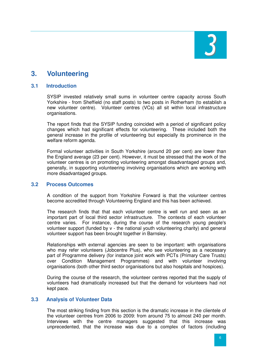

# **3. Volunteering**

## **3.1 Introduction**

SYSIP invested relatively small sums in volunteer centre capacity across South Yorkshire - from Sheffield (no staff posts) to two posts in Rotherham (to establish a new volunteer centre). Volunteer centres (VCs) all sit within local infrastructure organisations.

The report finds that the SYSIP funding coincided with a period of significant policy changes which had significant effects for volunteering. These included both the general increase in the profile of volunteering but especially its prominence in the welfare reform agenda.

Formal volunteer activities in South Yorkshire (around 20 per cent) are lower than the England average (23 per cent). However, it must be stressed that the work of the volunteer centres is on promoting volunteering amongst disadvantaged groups and, generally, in supporting volunteering involving organisations which are working with more disadvantaged groups.

#### **3.2 Process Outcomes**

A condition of the support from Yorkshire Forward is that the volunteer centres become accredited through Volunteering England and this has been achieved.

The research finds that that each volunteer centre is well run and seen as an important part of local third sector infrastructure. The contexts of each volunteer centre varies. For instance, during the course of the research young people's volunteer support (funded by v - the national youth volunteering charity) and general volunteer support has been brought together in Barnsley.

Relationships with external agencies are seen to be important: with organisations who may refer volunteers (Jobcentre Plus), who see volunteering as a necessary part of Programme delivery (for instance joint work with PCTs (Primary Care Trusts) over Condition Management Programmes) and with volunteer involving organisations (both other third sector organisations but also hospitals and hospices).

During the course of the research, the volunteer centres reported that the supply of volunteers had dramatically increased but that the demand for volunteers had not kept pace.

#### **3.3 Analysis of Volunteer Data**

The most striking finding from this section is the dramatic increase in the clientele of the volunteer centres from 2006 to 2009: from around 75 to almost 240 per month. Interviews with the centre managers suggested that this increase was unprecedented, that the increase was due to a complex of factors (including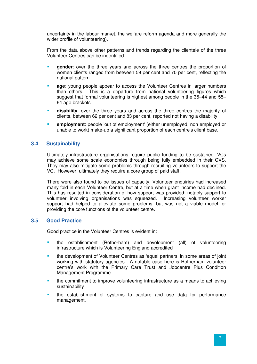uncertainty in the labour market, the welfare reform agenda and more generally the wider profile of volunteering).

From the data above other patterns and trends regarding the clientele of the three Volunteer Centres can be indentified:

- **gender**: over the three years and across the three centres the proportion of women clients ranged from between 59 per cent and 70 per cent, reflecting the national pattern
- **age**: young people appear to access the Volunteer Centres in larger numbers than others. This is a departure from national volunteering figures which suggest that formal volunteering is highest among people in the 35–44 and 55– 64 age brackets
- **disability**: over the three years and across the three centres the majority of clients, between 62 per cent and 83 per cent, reported not having a disability
- **employment**: people 'out of employment' (either unemployed, non employed or unable to work) make-up a significant proportion of each centre's client base.

## **3.4 Sustainability**

Ultimately infrastructure organisations require public funding to be sustained. VCs may achieve some scale economies through being fully embedded in their CVS. They may also mitigate some problems through recruiting volunteers to support the VC. However, ultimately they require a core group of paid staff.

There were also found to be issues of capacity. Volunteer enquiries had increased many fold in each Volunteer Centre, but at a time when grant income had declined. This has resulted in consideration of how support was provided: notably support to volunteer involving organisations was squeezed. Increasing volunteer worker support had helped to alleviate some problems, but was not a viable model for providing the core functions of the volunteer centre.

# **3.5 Good Practice**

Good practice in the Volunteer Centres is evident in:

- the establishment (Rotherham) and development (all) of volunteering infrastructure which is Volunteering England accredited
- the development of Volunteer Centres as 'equal partners' in some areas of joint working with statutory agencies. A notable case here is Rotherham volunteer centre's work with the Primary Care Trust and Jobcentre Plus Condition Management Programme
- the commitment to improve volunteering infrastructure as a means to achieving sustainability
- the establishment of systems to capture and use data for performance management.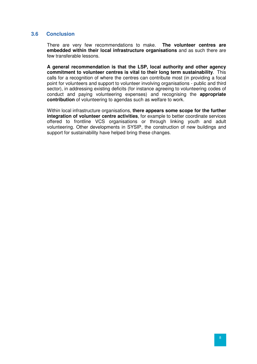# **3.6 Conclusion**

There are very few recommendations to make. **The volunteer centres are embedded within their local infrastructure organisations** and as such there are few transferable lessons.

**A general recommendation is that the LSP, local authority and other agency commitment to volunteer centres is vital to their long term sustainability**. This calls for a recognition of where the centres can contribute most (in providing a focal point for volunteers and support to volunteer involving organisations - public and third sector), in addressing existing deficits (for instance agreeing to volunteering codes of conduct and paying volunteering expenses) and recognising the **appropriate contribution** of volunteering to agendas such as welfare to work.

Within local infrastructure organisations, **there appears some scope for the further integration of volunteer centre activities**, for example to better coordinate services offered to frontline VCS organisations or through linking youth and adult volunteering. Other developments in SYSIP, the construction of new buildings and support for sustainability have helped bring these changes.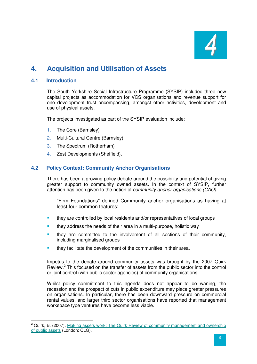

# **4. Acquisition and Utilisation of Assets**

# **4.1 Introduction**

The South Yorkshire Social Infrastructure Programme (SYSIP) included three new capital projects as accommodation for VCS organisations and revenue support for one development trust encompassing, amongst other activities, development and use of physical assets.

The projects investigated as part of the SYSIP evaluation include:

- 1. The Core (Barnsley)
- 2. Multi-Cultural Centre (Barnsley)
- 3. The Spectrum (Rotherham)
- 4. Zest Developments (Sheffield).

# **4.2 Policy Context: Community Anchor Organisations**

There has been a growing policy debate around the possibility and potential of giving greater support to community owned assets. In the context of SYSIP, further attention has been given to the notion of community anchor organisations (CAO).

"Firm Foundations" defined Community anchor organisations as having at least four common features:

- **they are controlled by local residents and/or representatives of local groups**
- they address the needs of their area in a multi-purpose, holistic way
- they are committed to the involvement of all sections of their community, including marginalised groups
- they facilitate the development of the communities in their area.

Impetus to the debate around community assets was brought by the 2007 Quirk Review.<sup>2</sup> This focused on the transfer of assets from the public sector into the control or joint control (with public sector agencies) of community organisations.

Whilst policy commitment to this agenda does not appear to be waning, the recession and the prospect of cuts in public expenditure may place greater pressures on organisations. In particular, there has been downward pressure on commercial rental values, and larger third sector organisations have reported that management workspace type ventures have become less viable.

<sup>&</sup>lt;sup>2</sup> Quirk, B. (2007), Making assets work: The Quirk Review of community management and ownership of public assets (London: CLG).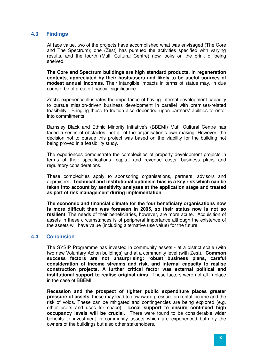# **4.3 Findings**

At face value, two of the projects have accomplished what was envisaged (The Core and The Spectrum); one (Zest) has pursued the activities specified with varying results, and the fourth (Multi Cultural Centre) now looks on the brink of being shelved.

**The Core and Spectrum buildings are high standard products, in regeneration contexts, appreciated by their hosts/users and likely to be useful sources of modest annual incomes**. Their intangible impacts in terms of status may, in due course, be of greater financial significance.

Zest's experience illustrates the importance of having internal development capacity to pursue mission-driven business development in parallel with premises-related feasibility. Bringing these to fruition also depended upon partners' abilities to enter into commitments.

Barnsley Black and Ethnic Minority Initiative's (BBEMI) Mutli Cultural Centre has faced a series of obstacles, not all of the organisation's own making. However, the decision not to pursue this project was based on the viability for the building not being proved in a feasibility study.

The experiences demonstrate the complexities of property development projects in terms of their specifications, capital and revenue costs, business plans and regulatory considerations.

These complexities apply to sponsoring organisations, partners, advisors and appraisers. **Technical and institutional optimism bias is a key risk which can be taken into account by sensitivity analyses at the application stage and treated as part of risk management during implementation**.

**The economic and financial climate for the four beneficiary organisations now is more difficult than was foreseen in 2005, so their status now is not so resilient**. The needs of their beneficiaries, however, are more acute. Acquisition of assets in these circumstances is of peripheral importance although the existence of the assets will have value (including alternative use value) for the future.

#### **4.4 Conclusion**

The SYSIP Programme has invested in community assets - at a district scale (with two new Voluntary Action buildings) and at a community level (with Zest). **Common success factors are not unsurprising: robust business plans, careful consideration of income streams and risk, and internal capacity to realise construction projects. A further critical factor was external political and institutional support to realise original aims**. These factors were not all in place in the case of BBEMI.

**Recession and the prospect of tighter public expenditure places greater pressure of assets**: these may lead to downward pressure on rental income and the risk of voids. These can be mitigated and contingencies are being explored (e.g. other users and uses for space). **Local support to ensure continued high occupancy levels will be crucial**. There were found to be considerable wider benefits to investment in community assets which are experienced both by the owners of the buildings but also other stakeholders.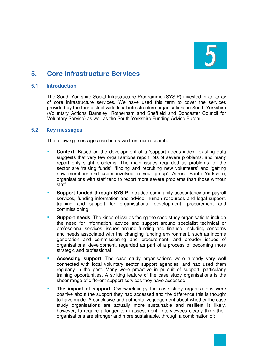

# **5. Core Infrastructure Services**

# **5.1 Introduction**

The South Yorkshire Social Infrastructure Programme (SYSIP) invested in an array of core infrastructure services. We have used this term to cover the services provided by the four district wide local infrastructure organisations in South Yorkshire (Voluntary Actions Barnsley, Rotherham and Sheffield and Doncaster Council for Voluntary Service) as well as the South Yorkshire Funding Advice Bureau.

## **5.2 Key messages**

The following messages can be drawn from our research:

- **Context**: Based on the development of a 'support needs index', existing data suggests that very few organisations report lots of severe problems, and many report only slight problems. The main issues regarded as problems for the sector are 'raising funds', 'finding and recruiting new volunteers' and 'getting new members and users involved in your group'. Across South Yorkshire, organisations with staff tend to report more severe problems than those without staff
- **Support funded through SYSIP:** included community accountancy and payroll services, funding information and advice, human resources and legal support, training and support for organisational development, procurement and commissioning
- **Support needs**: The kinds of issues facing the case study organisations include the need for information, advice and support around specialist technical or professional services; issues around funding and finance, including concerns and needs associated with the changing funding environment, such as income generation and commissioning and procurement; and broader issues of organisational development, regarded as part of a process of becoming more strategic and professional
- **Accessing support**: The case study organisations were already very well connected with local voluntary sector support agencies, and had used them regularly in the past. Many were proactive in pursuit of support, particularly training opportunities. A striking feature of the case study organisations is the sheer range of different support services they have accessed
- **The impact of support**: Overwhelmingly the case study organisations were positive about the support they had accessed and the difference this is thought to have made. A conclusive and authoritative judgement about whether the case study organisations are actually more sustainable and resilient is likely, however, to require a longer term assessment. Interviewees clearly think their organisations are stronger and more sustainable, through a combination of: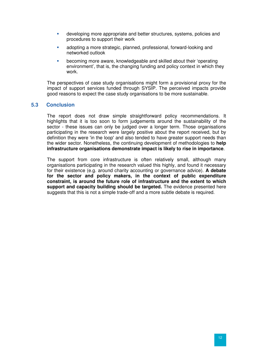- developing more appropriate and better structures, systems, policies and procedures to support their work
- adopting a more strategic, planned, professional, forward-looking and networked outlook
- becoming more aware, knowledgeable and skilled about their 'operating environment', that is, the changing funding and policy context in which they work.

The perspectives of case study organisations might form a provisional proxy for the impact of support services funded through SYSIP. The perceived impacts provide good reasons to expect the case study organisations to be more sustainable.

## **5.3 Conclusion**

The report does not draw simple straightforward policy recommendations. It highlights that it is too soon to form judgements around the sustainability of the sector - these issues can only be judged over a longer term. Those organisations participating in the research were largely positive about the report received, but by definition they were 'in the loop' and also tended to have greater support needs than the wider sector. Nonetheless, the continuing development of methodologies to **help infrastructure organisations demonstrate impact is likely to rise in importance**.

The support from core infrastructure is often relatively small, although many organisations participating in the research valued this highly, and found it necessary for their existence (e.g. around charity accounting or governance advice). **A debate for the sector and policy makers, in the context of public expenditure constraint, is around the future role of infrastructure and the extent to which support and capacity building should be targeted.** The evidence presented here suggests that this is not a simple trade-off and a more subtle debate is required.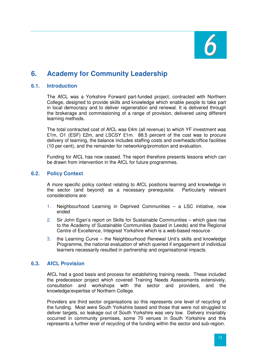

# **6. Academy for Community Leadership**

## **6.1. Introduction**

The AfCL was a Yorkshire Forward part-funded project, contracted with Northern College, designed to provide skills and knowledge which enable people to take part in local democracy and to deliver regeneration and renewal. It is delivered through the brokerage and commissioning of a range of provision, delivered using different learning methods.

The total contracted cost of AfCL was £4m (all revenue) to which YF investment was £1m, O1 (ESF) £2m, and LSCSY £1m. 88.5 percent of the cost was to procure delivery of learning, the balance includes staffing costs and overheads/office facilities (10 per cent), and the remainder for networking/promotion and evaluation.

Funding for AfCL has now ceased. The report therefore presents lessons which can be drawn from intervention in the AfCL for future programmes.

## **6.2. Policy Context**

A more specific policy context relating to AfCL positions learning and knowledge in the sector (and beyond) as a necessary prerequisite. Particularly relevant considerations are:

- 1. Neighbourhood Learning in Deprived Communities a LSC initiative, now ended
- 2. Sir John Egan's report on Skills for Sustainable Communities which gave rise to the Academy of Sustainable Communities (based in Leeds) and the Regional Centre of Excellence, Integreat Yorkshire which is a web-based resource
- 3. the Learning Curve the Neighbourhood Renewal Unit's skills and knowledge Programme, the national evaluation of which queried if engagement of individual learners necessarily resulted in partnership and organisational impacts.

#### **6.3. AfCL Provision**

AfCL had a good basis and process for establishing training needs. These included the predecessor project which covered Training Needs Assessments extensively, consultation and workshops with the sector and providers, and the knowledge/expertise of Northern College.

Providers are third sector organisations so this represents one level of recycling of the funding. Most were South Yorkshire based and those that were not struggled to deliver targets, so leakage out of South Yorkshire was very low. Delivery invariably occurred in community premises, some 70 venues in South Yorkshire and this represents a further level of recycling of the funding within the sector and sub-region.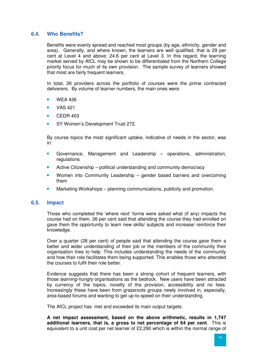## **6.4. Who Benefits?**

Benefits were evenly spread and reached most groups (by age, ethnicity, gender and area). Generally, and where known, the learners are well qualified, that is 29 per cent at Level 4 and above; 24.6 per cent at Level 3. In this regard, the learning market served by AfCL may be shown to be differentiated from the Northern College priority focus for much of its own provision. The sample survey of learners showed that most are fairly frequent learners.

In total, 26 providers across the portfolio of courses were the prime contracted deliverers. By volume of learner numbers, the main ones were:

- WEA 436
- $\blacksquare$  VAS 421
- CEDR 403
- SY Women's Development Trust 272.

By course topics the most significant uptake, indicative of needs in the sector, was in:

- Governance, Management and Leadership operations, administration, regulations
- Active Citizenship political understanding and community democracy
- Women into Community Leadership gender based barriers and overcoming them
- **Marketing Workshops planning communications, publicity and promotion.**

#### **6.5. Impact**

Those who completed the 'where next' forms were asked what (if any) impacts the course had on them. 26 per cent said that attending the course they had enrolled on gave them the opportunity to learn new skills/ subjects and increase/ reinforce their knowledge.

Over a quarter (28 per cent) of people said that attending the course gave them a better and wider understanding of their job or the members of the community their organisation tries to help. This includes understanding the needs of the community and how their role facilitates them being supported. This enables those who attended the courses to fulfil their role better.

Evidence suggests that there has been a strong cohort of frequent learners, with those learning-hungry organisations as the bedrock. New users have been attracted by currency of the topics, novelty of the provision, accessibility and no fees. Increasingly these have been from grassroots groups newly involved in, especially, area-based forums and wanting to get up-to-speed on their understanding.

The AfCL project has met and exceeded its main output targets.

**A net impact assessment, based on the above arithmetic, results in 1,747 additional learners, that is, a gross to net percentage of 64 per cent**. This is equivalent to a unit cost per net learner of £2,290 which is within the normal range of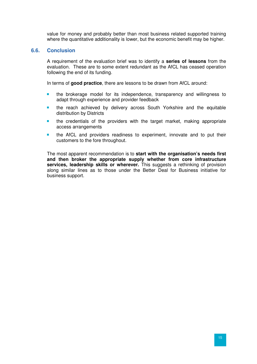value for money and probably better than most business related supported training where the quantitative additionality is lower, but the economic benefit may be higher.

#### **6.6. Conclusion**

A requirement of the evaluation brief was to identify a **series of lessons** from the evaluation. These are to some extent redundant as the AfCL has ceased operation following the end of its funding.

In terms of **good practice**, there are lessons to be drawn from AfCL around:

- the brokerage model for its independence, transparency and willingness to adapt through experience and provider feedback
- **the reach achieved by delivery across South Yorkshire and the equitable** distribution by Districts
- the credentials of the providers with the target market, making appropriate access arrangements
- the AfCL and providers readiness to experiment, innovate and to put their customers to the fore throughout.

The most apparent recommendation is to **start with the organisation's needs first and then broker the appropriate supply whether from core infrastructure services, leadership skills or wherever.** This suggests a rethinking of provision along similar lines as to those under the Better Deal for Business initiative for business support.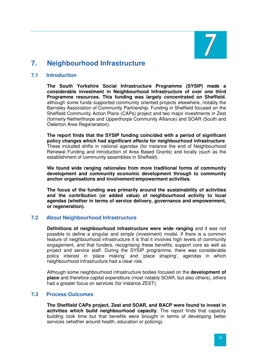# **7. Neighbourhood Infrastructure**

# **7.1 Introduction**

**The South Yorkshire Social Infrastructure Programme (SYSIP) made a considerable investment in Neighbourhood Infrastructure of over one third Programme resources. This funding was largely concentrated on Sheffield**, although some funds supported community oriented projects elsewhere, notably the Barnsley Association of Community Partnership. Funding in Sheffield focused on the Sheffield Community Action Plans (CAPs) project and two major investments in Zest (formerly Netherthorpe and Upperthorpe Community Alliance) and SOAR (South and Owlerton Area Regeneration).

**The report finds that the SYSIP funding coincided with a period of significant policy changes which had significant effects for neighbourhood infrastructure**. These included shifts in national agendas (for instance the end of Neighbourhood Renewal Funding and introduction of Area Based Grants) and locally (such as the establishment of community assemblies in Sheffield).

**We found wide ranging rationales from more traditional forms of community development and community economic development through to community anchor organisations and involvement/empowerment activities.** 

**The focus of the funding was primarily around the sustainability of activities and the contribution (or added value) of neighbourhood activity to local agendas (whether in terms of service delivery, governance and empowerment, or regeneration).** 

# **7.2 About Neighbourhood Infrastructure**

**Definitions of neighbourhood infrastructure were wide ranging** and it was not possible to define a singular and simple (investment) model. If there is a common feature of neighbourhood infrastructure it is that it involves high levels of community engagement, and that funders, recognising these benefits, support core as well as project and service staff. During the SYSIP programme, there was considerable policy interest in 'place making' and 'place shaping', agendas in which neighbourhood infrastructure had a clear role.

Although some neighbourhood infrastructure bodies focused on the **development of place** and therefore capital expenditure (most notably SOAR, but also others), others had a greater focus on services (for instance ZEST).

# **7.3 Process Outcomes**

**The Sheffield CAPs project, Zest and SOAR, and BACP were found to invest in activities which build neighbourhood capacity**. The report finds that capacity building took time but that benefits were brought in terms of developing better services (whether around health, education or policing).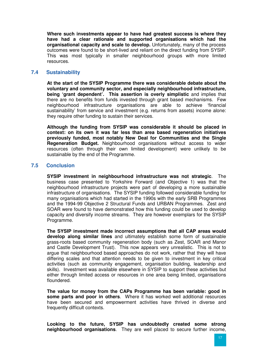**Where such investments appear to have had greatest success is where they have had a clear rationale and supported organisations which had the organisational capacity and scale to develop.** Unfortunately, many of the process outcomes were found to be short-lived and reliant on the direct funding from SYSIP. This was most typically in smaller neighbourhood groups with more limited resources.

# **7.4 Sustainability**

**At the start of the SYSIP Programme there was considerable debate about the voluntary and community sector, and especially neighbourhood infrastructure, being 'grant dependent'. This assertion is overly simplistic** and implies that there are no benefits from funds invested through grant based mechanisms. Few neighbourhood infrastructure organisations are able to achieve 'financial sustainability' from service and investment (e.g. returns from assets) income alone: they require other funding to sustain their services.

**Although the funding from SYSIP was considerable it should be placed in context: on its own it was far less than area based regeneration initiatives previously funded, most notably New Deal for Communities and the Single Regeneration Budget.** Neighbourhood organisations without access to wider resources (often through their own limited development) were unlikely to be sustainable by the end of the Programme.

## **7.5 Conclusion**

**SYSIP investment in neighbourhood infrastructure was not strategic**. The business case presented to Yorkshire Forward (and Objective 1) was that the neighbourhood infrastructure projects were part of developing a more sustainable infrastructure of organisations. The SYSIP funding followed considerable funding for many organisations which had started in the 1990s with the early SRB Programmes and the 1994-99 Objective 2 Structural Funds and URBAN Programmes. Zest and SOAR were found to have demonstrated how this funding could be used to develop capacity and diversify income streams. They are however exemplars for the SYSIP Programme.

**The SYSIP investment made incorrect assumptions that all CAP areas would develop along similar lines** and ultimately establish some form of sustainable grass-roots based community regeneration body (such as Zest, SOAR and Manor and Castle Development Trust). This now appears very unrealistic. This is not to argue that neighbourhood based approaches do not work, rather that they will have differing scales and that attention needs to be given to investment in key critical activities (such as community engagement, organisation building, leadership and skills). Investment was available elsewhere in SYSIP to support these activities but either through limited access or resources in one area being limited, organisations floundered.

**The value for money from the CAPs Programme has been variable: good in some parts and poor in others**. Where it has worked well additional resources have been secured and empowerment activities have thrived in diverse and frequently difficult contexts.

**Looking to the future, SYSIP has undoubtedly created some strong neighbourhood organisations**. They are well placed to secure further income,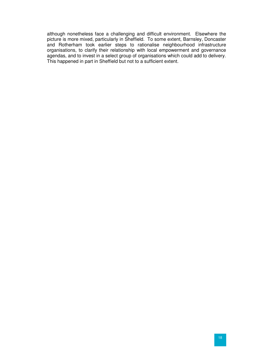although nonetheless face a challenging and difficult environment. Elsewhere the picture is more mixed, particularly in Sheffield. To some extent, Barnsley, Doncaster and Rotherham took earlier steps to rationalise neighbourhood infrastructure organisations, to clarify their relationship with local empowerment and governance agendas, and to invest in a select group of organisations which could add to delivery. This happened in part in Sheffield but not to a sufficient extent.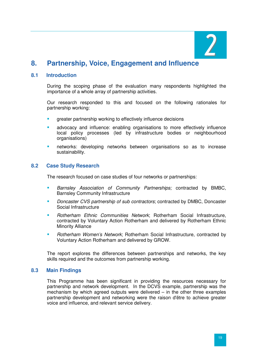

# **8. Partnership, Voice, Engagement and Influence**

## **8.1 Introduction**

During the scoping phase of the evaluation many respondents highlighted the importance of a whole array of partnership activities.

Our research responded to this and focused on the following rationales for partnership working:

- greater partnership working to effectively influence decisions
- **E** advocacy and influence: enabling organisations to more effectively influence local policy processes (led by infrastructure bodies or neighbourhood organisations)
- networks: developing networks between organisations so as to increase sustainability.

## **8.2 Case Study Research**

The research focused on case studies of four networks or partnerships:

- **Barnsley Association of Community Partnerships: contracted by BMBC,** Barnsley Community Infrastructure
- Doncaster CVS partnership of sub contractors; contracted by DMBC, Doncaster Social Infrastructure
- Rotherham Ethnic Communities Network; Rotherham Social Infrastructure, contracted by Voluntary Action Rotherham and delivered by Rotherham Ethnic Minority Alliance
- Rotherham Women's Network; Rotherham Social Infrastructure, contracted by Voluntary Action Rotherham and delivered by GROW.

The report explores the differences between partnerships and networks, the key skills required and the outcomes from partnership working.

#### **8.3 Main Findings**

This Programme has been significant in providing the resources necessary for partnership and network development. In the DCVS example, partnership was the mechanism by which agreed outputs were delivered – in the other three examples partnership development and networking were the raison d'être to achieve greater voice and influence, and relevant service delivery.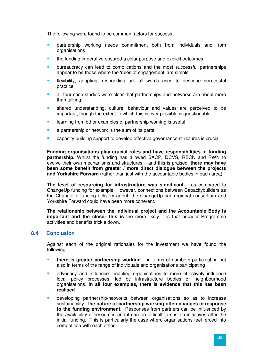The following were found to be common factors for success:

- partnership working needs commitment both from individuals and from organisations
- the funding imperative ensured a clear purpose and explicit outcomes
- bureaucracy can lead to complications and the most successful partnerships appear to be those where the 'rules of engagement' are simple
- flexibility, adapting, responding are all words used to describe successful practice
- all four case studies were clear that partnerships and networks are about more than talking
- shared understanding, culture, behaviour and values are perceived to be important, though the extent to which this is ever possible is questionable
- learning from other examples of partnership working is useful
- a partnership or network is the sum of its parts
- capacity building support to develop effective governance structures is crucial.

**Funding organisations play crucial roles and have responsibilities in funding partnership.** Whilst the funding has allowed BACP, DCVS, RECN and RWN to evolve their own mechanisms and structures – and this is praised, **there may have been some benefit from greater / more direct dialogue between the projects and Yorkshire Forward** (rather than just with the accountable bodies in each area)

**The level of resourcing for infrastructure was significant** – as compared to ChangeUp funding for example. However, connections between Capacitybuilders as the ChangeUp funding delivery agent, the ChangeUp sub-regional consortium and Yorkshire Forward could have been more coherent.

**The relationship between the individual project and the Accountable Body is important and the closer this is** the more likely it is that broader Programme activities and benefits trickle down.

#### **8.4 Conclusion**

Against each of the original rationales for the investment we have found the following:

- **there is greater partnership working** in terms of numbers participating but also in terms of the range of individuals and organisations participating
- advocacy and influence: enabling organisations to more effectively influence local policy processes, led by infrastructure bodies or neighbourhood organisations. **In all four examples, there is evidence that this has been realised**
- developing partnership/networks between organisations so as to increase sustainability. **The nature of partnership working often changes in response to the funding environment**. Responses from partners can be influenced by the availability of resources and it can be difficult to sustain initiatives after the initial funding. This is particularly the case where organisations feel forced into competition with each other.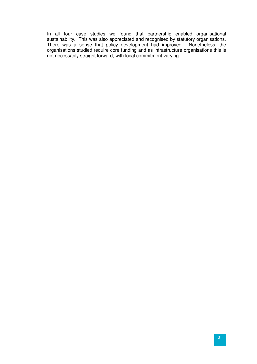In all four case studies we found that partnership enabled organisational sustainability. This was also appreciated and recognised by statutory organisations. There was a sense that policy development had improved. Nonetheless, the organisations studied require core funding and as infrastructure organisations this is not necessarily straight forward, with local commitment varying.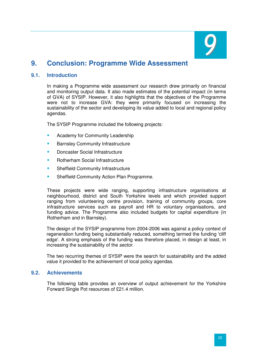

# **9. Conclusion: Programme Wide Assessment**

# **9.1. Introduction**

In making a Programme wide assessment our research drew primarily on financial and monitoring output data. It also made estimates of the potential impact (in terms of GVA) of SYSIP. However, it also highlights that the objectives of the Programme were not to increase GVA: they were primarily focused on increasing the sustainability of the sector and developing its value added to local and regional policy agendas.

The SYSIP Programme included the following projects:

- Academy for Community Leadership
- Barnsley Community Infrastructure
- Doncaster Social Infrastructure
- Rotherham Social Infrastructure
- **Sheffield Community Infrastructure**
- Sheffield Community Action Plan Programme.

These projects were wide ranging, supporting infrastructure organisations at neighbourhood, district and South Yorkshire levels and which provided support ranging from volunteering centre provision, training of community groups, core infrastructure services such as payroll and HR to voluntary organisations, and funding advice. The Programme also included budgets for capital expenditure (in Rotherham and in Barnsley).

The design of the SYSIP programme from 2004-2006 was against a policy context of regeneration funding being substantially reduced, something termed the funding 'cliff edge'. A strong emphasis of the funding was therefore placed, in design at least, in increasing the sustainability of the sector.

The two recurring themes of SYSIP were the search for sustainability and the added value it provided to the achievement of local policy agendas.

#### **9.2. Achievements**

The following table provides an overview of output achievement for the Yorkshire Forward Single Pot resources of £21.4 million.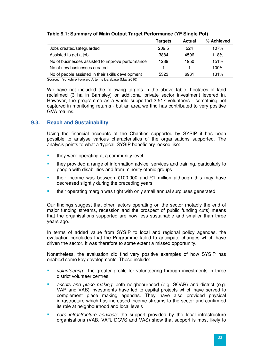| $\overline{\phantom{a}}$                          |         | ÷             |            |
|---------------------------------------------------|---------|---------------|------------|
|                                                   | Targets | <b>Actual</b> | % Achieved |
| Jobs created/safeguarded                          | 209.5   | 224           | 107%       |
| Assisted to get a job                             | 3884    | 4596          | 118%       |
| No of businesses assisted to improve performance  | 1289    | 1950          | 151%       |
| No of new businesses created                      |         |               | 100%       |
| No of people assisted in their skills development | 5323    | 6961          | 131%       |

# **Table 9.1: Summary of Main Output Target Performance (YF Single Pot)**

Source: Yorkshire Forward Artemis Database (May 2010)

We have not included the following targets in the above table: hectares of land reclaimed (3 ha in Barnsley) or additional private sector investment levered in. However, the programme as a whole supported 3,517 volunteers - something not captured in monitoring returns - but an area we find has contributed to very positive GVA returns.

# **9.3. Reach and Sustainability**

Using the financial accounts of the Charities supported by SYSIP it has been possible to analyse various characteristics of the organisations supported. The analysis points to what a 'typical' SYSIP beneficiary looked like:

- they were operating at a community level.
- they provided a range of information advice, services and training, particularly to people with disabilities and from minority ethnic groups
- their income was between £100,000 and £1 million although this may have decreased slightly during the preceding years
- **their operating margin was tight with only small annual surpluses generated**

Our findings suggest that other factors operating on the sector (notably the end of major funding streams, recession and the prospect of public funding cuts) means that the organisations supported are now less sustainable and smaller than three years ago.

In terms of added value from SYSIP to local and regional policy agendas, the evaluation concludes that the Programme failed to anticipate changes which have driven the sector. It was therefore to some extent a missed opportunity.

Nonetheless, the evaluation did find very positive examples of how SYSIP has enabled some key developments. These include:

- volunteering: the greater profile for volunteering through investments in three district volunteer centres
- assets and place making: both neighbourhood (e.g. SOAR) and district (e.g. VAR and VAB) investments have led to capital projects which have served to complement place making agendas. They have also provided physical infrastructure which has increased income streams to the sector and confirmed its role at neighbourhood and local levels
- core infrastructure services: the support provided by the local infrastructure organisations (VAB, VAR, DCVS and VAS) show that support is most likely to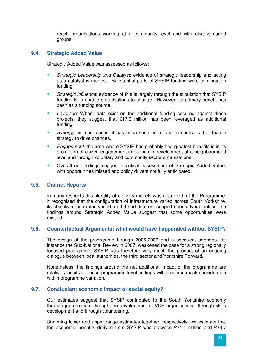reach organisations working at a community level and with disadvantaged groups.

# **9.4. Strategic Added Value**

Strategic Added Value was assessed as follows:

- Strategic Leadership and Catalyst: evidence of strategic leadership and acting as a catalyst is modest. Substantial parts of SYSIP funding were continuation funding.
- **Strategic influence: evidence of this is largely through the stipulation that SYSIP** funding is to enable organisations to change. However, its primary benefit has been as a funding source.
- Leverage: Where data exist on the additional funding secured against these projects, they suggest that £17.6 million has been leveraged as additional funding.
- Synergy: in most cases, it has been seen as a funding source rather than a strategy to drive changes.
- Engagement: the area where SYSIP has probably had greatest benefits is in its promotion of citizen engagement in economic development at a neighbourhood level and through voluntary and community sector organisations.
- **•** Overall our findings suggest a critical assessment of Strategic Added Value, with opportunities missed and policy drivers not fully anticipated.

# **9.5. District Reports**

In many respects this plurality of delivery models was a strength of the Programme. It recognised that the configuration of infrastructure varied across South Yorkshire. its objectives and roles varied, and it had different support needs. Nonetheless, the findings around Strategic Added Value suggest that some opportunities were missed.

#### **9.6. Counterfactual Arguments: what would have happended without SYSIP?**

The design of the programme through 2005-2006 and subsequent agendas, for instance the Sub-National Review in 2007, weakened the case for a strong regionally focused programme. SYSIP was therefore very much the product of an ongoing dialogue between local authorities, the third sector and Yorkshire Forward.

Nonetheless, the findings around the net additional impact of the programme are relatively positive. These programme-level findings will of course mask considerable within programme variation.

# **9.7. Conclusion: economic impact or social equity?**

Our estimates suggest that SYSIP contributed to the South Yorkshire economy through job creation, through the development of VCS organisations, through skills development and through volunteering.

Summing lower and upper range estimates together, respectively, we estimate that the economic benefits derived from SYSIP was between £21.4 million and £33.7